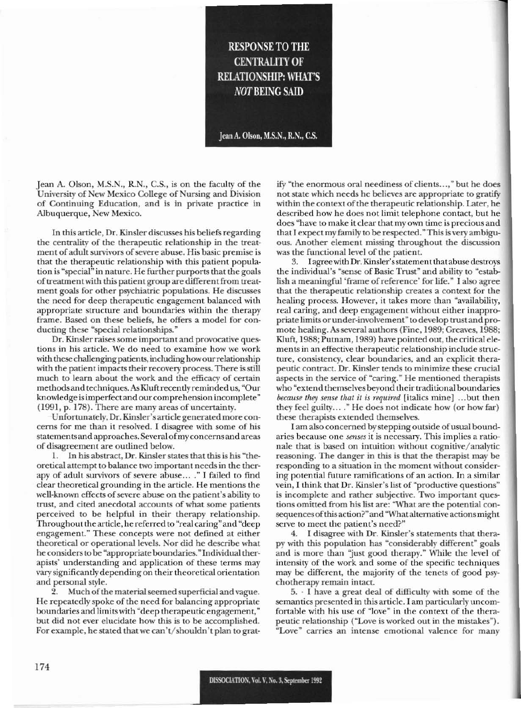## **RESPONSE TO THE CENTRALITY OF RELATIONSHIP: WHAT'S NOT BEING SAID**

Jean A. Olson, M.S.N., R.N., C.S.

Jean A. Olson, M.S.N., R.N., C.S., is on the faculty of the University of New Mexico College of Nursing and Division of Continuing Education, and is in private practice in Albuquerque, New Mexico.

In this article, Dr. Kinsler discusses his beliefs regarding the centrality of the therapeutic relationship in the treatment of adult survivors of severe abuse. His basic premise is that the therapeutic relationship with this patient population is "special" in nature. He further purports that the goals of treatment with this patient group are different from treatment goals for other psychiatric populations. He discusses the need for deep therapeutic engagement balanced with appropriate structure and boundaries within the therapy frame. Based on these beliefs, he offers a model for conducting these "special relationships."

Dr. Kinsler raises some important and provocative questions in his article. We do need to examine how we work with these challenging patients, including how our relationship with the patient impacts their recovery process. There is still much to learn about the work and the efficacy of certain methods and techniques. As Kluft recently reminded us, "Our knowledge is imperfect and our comprehension incomplete" (1991, p. 178). There are many areas of uncertainty.

Unfortunately, Dr. Kinsler's article generated more concerns for me than it resolved. I disagree with some of his statements and approaches. Several of my concerns and areas of disagreement are outlined below.

1. In his abstract, Dr. Kinsler states that this is his "theoretical attempt to balance two important needs in the therapy of adult survivors of severe abuse... ." I failed to find clear theoretical grounding in the article. He mentions the well-known effects of severe abuse on the patient's ability to trust, and cited anecdotal accounts of what some patients perceived to be helpful in their therapy relationship. Throughout the article, he referred to "real caring" and "deep engagement." These concepts were not defined at either theoretical or operational levels. Nor did he describe what he considers to be "appropriate boundaries." Individual therapists' understanding and application of these terms may vary significantly depending on their theoretical orientation and personal style.

Much of the material seemed superficial and vague. He repeatedly spoke of the need for balancing appropriate boundaries and limits with "deep therapeutic engagement," but did not ever elucidate how this is to be accomplished. For example, he stated that we can't/shouldn't plan to gratify "the enormous oral neediness of clients...," but he does not state which needs he believes are appropriate to gratify within the context of the therapeutic relationship. Later, he described how he does not limit telephone contact, but he does "have to make it clear that my own time is precious and that I expect my family to be respected." This is very ambiguous. Another element missing throughout the discussion was the functional level of the patient.

I agree with Dr. Kinsler's statement that abuse destroys 3. the individual's "sense of Basic Trust" and ability to "establish a meaningful 'frame of reference' for life." I also agree that the therapeutic relationship creates a context for the healing process. However, it takes more than "availability, real caring, and deep engagement without either inappropriate limits or under-involvement" to develop trust and promote healing. As several authors (Fine, 1989; Greaves, 1988; Kluft, 1988; Putnam, 1989) have pointed out, the critical elements in an effective therapeutic relationship include structure, consistency, clear boundaries, and an explicit therapeutic contract. Dr. Kinsler tends to minimize these crucial aspects in the service of "caring." He mentioned therapists who "extend themselves beyond their traditional boundaries because they sense that it is required [italics mine] ...but then they feel guilty...." He does not indicate how (or how far) these therapists extended themselves.

I am also concerned by stepping outside of usual boundaries because one senses it is necessary. This implies a rationale that is based on intuition without cognitive/analytic reasoning. The danger in this is that the therapist may be responding to a situation in the moment without considering potential future ramifications of an action. In a similar vein, I think that Dr. Kinsler's list of "productive questions" is incomplete and rather subjective. Two important questions omitted from his list are: "What are the potential consequences of this action?" and "What alternative actions might serve to meet the patient's need?"

4. I disagree with Dr. Kinsler's statements that therapy with this population has "considerably different" goals and is more than "just good therapy." While the level of intensity of the work and some of the specific techniques may be different, the majority of the tenets of good psychotherapy remain intact.

5. I have a great deal of difficulty with some of the semantics presented in this article. I am particularly uncomfortable with his use of "love" in the context of the therapeutic relationship ("Love is worked out in the mistakes"). "Love" carries an intense emotional valence for many